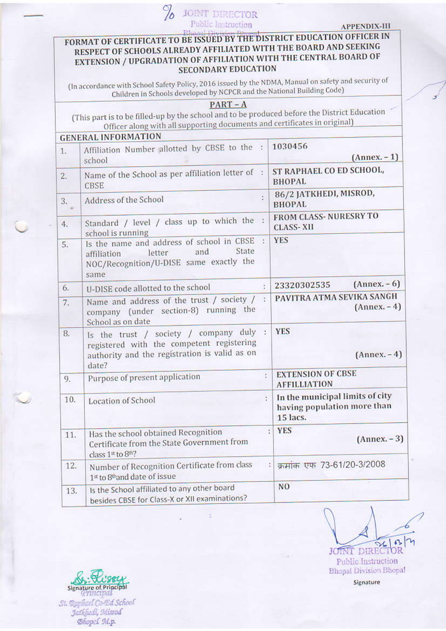## **JORNT DIRECTOR** %

**APPENDIX-III** 

## FORMAT OF CERTIFICATE TO BE ISSUED BY THE DISTRICT EDUCATION OFFICER IN RESPECT OF SCHOOLS ALREADY AFFILIATED WITH THE BOARD AND SEEKING EXTENSION / UPGRADATION OF AFFILIATION WITH THE CENTRAL BOARD OF **SECONDARY EDUCATION**

(In accordance with School Safety Policy, 2016 issued by the NDMA, Manual on safety and security of Children in Schools developed by NCPCR and the National Building Code)

## $PART - A$

(This part is to be filled-up by the school and to be produced before the District Education Officer along with all supporting documents and certificates in original)

| 1.  | Affiliation Number allotted by CBSE to the :<br>school                                                                                       |                | 1030456<br>$(Annex. -1)$                                                   |
|-----|----------------------------------------------------------------------------------------------------------------------------------------------|----------------|----------------------------------------------------------------------------|
| 2.  | Name of the School as per affiliation letter of :<br><b>CBSE</b>                                                                             |                | ST RAPHAEL CO ED SCHOOL,<br><b>BHOPAL</b>                                  |
| 3.  | Address of the School                                                                                                                        | $\ddot{\cdot}$ | 86/2 JATKHEDI, MISROD,<br><b>BHOPAL</b>                                    |
| 4.  | Standard / level / class up to which the :<br>school is running                                                                              |                | <b>FROM CLASS-NURESRY TO</b><br><b>CLASS-XII</b>                           |
| 5.  | Is the name and address of school in CBSE :<br>State<br>and<br>letter<br>affiliation<br>NOC/Recognition/U-DISE same exactly the<br>same      |                | <b>YES</b>                                                                 |
| 6.  | U-DISE code allotted to the school                                                                                                           | Y.             | $(Annex. - 6)$<br>23320302535                                              |
| 7.  | Name and address of the trust / society /<br>company (under section-8) running the<br>School as on date                                      | ÷              | PAVITRA ATMA SEVIKA SANGH<br>$(Annex. -4)$                                 |
| 8.  | Is the trust / society / company duly<br>registered with the competent registering<br>authority and the registration is valid as on<br>date? | $\mathcal{L}$  | <b>YES</b><br>$(Annex. -4)$                                                |
| 9.  | Purpose of present application                                                                                                               | ÷              | <b>EXTENSION OF CBSE</b><br><b>AFFILLIATION</b>                            |
| 10. | Location of School                                                                                                                           |                | In the municipal limits of city<br>having population more than<br>15 lacs. |
| 11. | Has the school obtained Recognition<br>Certificate from the State Government from<br>class $1st$ to $8th$ ?                                  |                | <b>YES</b><br>$\mathcal{L}$<br>$(Annex. - 3)$                              |
| 12. | Number of Recognition Certificate from class<br>1st to 8th and date of issue                                                                 |                | क्रमांक एफ 73-61/20-3/2008<br>ţ,                                           |
| 13. | Is the School affiliated to any other board<br>besides CBSE for Class-X or XII examinations?                                                 |                | N <sub>O</sub>                                                             |

JOINT DIRECTOR Public Instruction **Bhopal Division Bhopal** 

Signature

Signature of Principal St. Raphael Co-Ed School Jatkfiedt, Misrod **Chopef** M.p.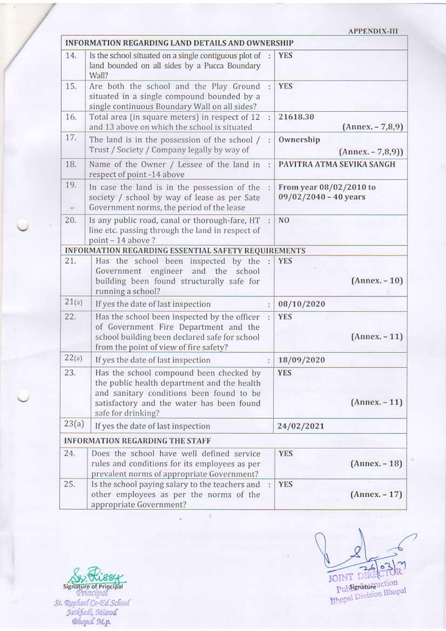## **APPENDIX-III**

|       | <b>INFORMATION REGARDING LAND DETAILS AND OWNERSHIP</b>                                                                                                                                               |    |                                                    |
|-------|-------------------------------------------------------------------------------------------------------------------------------------------------------------------------------------------------------|----|----------------------------------------------------|
| 14.   | Is the school situated on a single contiguous plot of :<br>land bounded on all sides by a Pucca Boundary<br>Wall?                                                                                     |    | <b>YES</b>                                         |
| 15.   | Are both the school and the Play Ground<br>situated in a single compound bounded by a<br>single continuous Boundary Wall on all sides?                                                                | ÿ. | <b>YES</b>                                         |
| 16.   | Total area (in square meters) in respect of 12<br>and 13 above on which the school is situated                                                                                                        |    | 21618.30<br>$(Annex. - 7, 8, 9)$                   |
| 17.   | The land is in the possession of the school /<br>Trust / Society / Company legally by way of                                                                                                          | ŧ. | Ownership<br>$(Annex. - 7, 8, 9))$                 |
| 18.   | Name of the Owner / Lessee of the land in :<br>respect of point -14 above                                                                                                                             |    | PAVITRA ATMA SEVIKA SANGH                          |
| 19.   | In case the land is in the possession of the<br>society / school by way of lease as per Sate<br>Government norms, the period of the lease                                                             |    | From year 08/02/2010 to<br>$09/02/2040 - 40$ years |
| 20.   | Is any public road, canal or thorough-fare, HT<br>line etc. passing through the land in respect of<br>point - 14 above?                                                                               |    | N <sub>O</sub>                                     |
|       | INFORMATION REGARDING ESSENTIAL SAFETY REQUIREMENTS                                                                                                                                                   |    |                                                    |
| 21.   | Has the school been inspected by the :<br>engineer and the<br>Government<br>school<br>building been found structurally safe for<br>running a school?                                                  |    | <b>YES</b><br>$(Annex. -10)$                       |
| 21(a) | If yes the date of last inspection                                                                                                                                                                    |    | 08/10/2020                                         |
| 22.   | Has the school been inspected by the officer<br>of Government Fire Department and the<br>school building been declared safe for school<br>from the point of view of fire safety?                      |    | <b>YES</b><br>$(Annex. -11)$                       |
| 22(a) | If yes the date of last inspection                                                                                                                                                                    |    | 18/09/2020                                         |
| 23.   | Has the school compound been checked by<br>the public health department and the health<br>and sanitary conditions been found to be<br>satisfactory and the water has been found<br>safe for drinking? |    | <b>YES</b><br>$(Annex. -11)$                       |
| 23(a) | If yes the date of last inspection                                                                                                                                                                    |    | 24/02/2021                                         |
|       | <b>INFORMATION REGARDING THE STAFF</b>                                                                                                                                                                |    |                                                    |
| 24.   | Does the school have well defined service<br>rules and conditions for its employees as per<br>prevalent norms of appropriate Government?                                                              |    | <b>YES</b><br>$(Annex. - 18)$                      |
| 25.   | Is the school paying salary to the teachers and<br>other employees as per the norms of the<br>appropriate Government?                                                                                 |    | <b>YES</b><br>$(Annex. -17)$                       |

读

JOINT DIRECTOR

Signature of Principal<br>St. Raphael Co-Ed School<br>Jatkfiedi, Misrod<br>Bhopcl M.p.